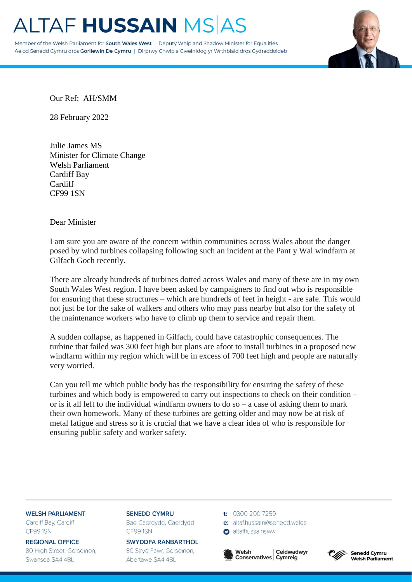# **TAF HUSSAIN MSAS**

Member of the Welsh Parliament for South Wales West | Deputy Whip and Shadow Minister for Equalities Aelod Senedd Cymru dros Gorllewin De Cymru | Dirprwy Chwip a Gweinidog yr Wrthblaid dros Gydraddoldeb



Our Ref: AH/SMM

28 February 2022

Julie James MS Minister for Climate Change Welsh Parliament Cardiff Bay Cardiff CF99 1SN

### Dear Minister

I am sure you are aware of the concern within communities across Wales about the danger posed by wind turbines collapsing following such an incident at the Pant y Wal windfarm at Gilfach Goch recently.

There are already hundreds of turbines dotted across Wales and many of these are in my own South Wales West region. I have been asked by campaigners to find out who is responsible for ensuring that these structures – which are hundreds of feet in height - are safe. This would not just be for the sake of walkers and others who may pass nearby but also for the safety of the maintenance workers who have to climb up them to service and repair them.

A sudden collapse, as happened in Gilfach, could have catastrophic consequences. The turbine that failed was 300 feet high but plans are afoot to install turbines in a proposed new windfarm within my region which will be in excess of 700 feet high and people are naturally very worried.

Can you tell me which public body has the responsibility for ensuring the safety of these turbines and which body is empowered to carry out inspections to check on their condition – or is it all left to the individual windfarm owners to do so  $-$  a case of asking them to mark their own homework. Many of these turbines are getting older and may now be at risk of metal fatigue and stress so it is crucial that we have a clear idea of who is responsible for ensuring public safety and worker safety.

#### **WELSH PARLIAMENT** Cardiff Bay, Cardiff

CF991SN

**REGIONAL OFFICE** 80 High Street, Gorseinon, Swansea SA4 4BL

**SENEDD CYMRU** Bae Caerdydd, Caerdydd CF991SN

**SWYDDFA RANBARTHOL** 80 Stryd Fawr, Gorseinon, Abertawe SA4 4BL

t: 0300 200 7259

altafhussainsww

e: altaf.hussain@senedd.wales